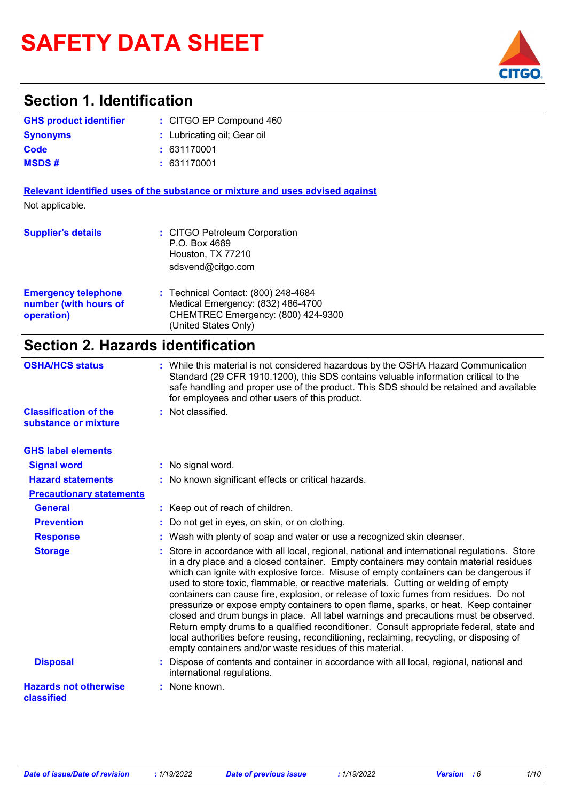# **SAFETY DATA SHEET**

## **Section 1. Identification**

| <b>GHS product identifier</b> | : CITGO EP Compound 460     |
|-------------------------------|-----------------------------|
| <b>Synonyms</b>               | : Lubricating oil; Gear oil |
| Code                          | : 631170001                 |
| <b>MSDS#</b>                  | : 631170001                 |

**Relevant identified uses of the substance or mixture and uses advised against** Not applicable.

| <b>Supplier's details</b>                                         | : CITGO Petroleum Corporation<br>P.O. Box 4689<br>Houston, TX 77210<br>sdsvend@citgo.com                                               |
|-------------------------------------------------------------------|----------------------------------------------------------------------------------------------------------------------------------------|
| <b>Emergency telephone</b><br>number (with hours of<br>operation) | : Technical Contact: (800) 248-4684<br>Medical Emergency: (832) 486-4700<br>CHEMTREC Emergency: (800) 424-9300<br>(United States Only) |

### **Section 2. Hazards identification**

| <b>OSHA/HCS status</b>                               | : While this material is not considered hazardous by the OSHA Hazard Communication<br>Standard (29 CFR 1910.1200), this SDS contains valuable information critical to the<br>safe handling and proper use of the product. This SDS should be retained and available<br>for employees and other users of this product.                                                                                                                                                                                                                                                                                                                                                                                                                                                                                                                                                                             |
|------------------------------------------------------|---------------------------------------------------------------------------------------------------------------------------------------------------------------------------------------------------------------------------------------------------------------------------------------------------------------------------------------------------------------------------------------------------------------------------------------------------------------------------------------------------------------------------------------------------------------------------------------------------------------------------------------------------------------------------------------------------------------------------------------------------------------------------------------------------------------------------------------------------------------------------------------------------|
| <b>Classification of the</b><br>substance or mixture | : Not classified.                                                                                                                                                                                                                                                                                                                                                                                                                                                                                                                                                                                                                                                                                                                                                                                                                                                                                 |
| <b>GHS label elements</b>                            |                                                                                                                                                                                                                                                                                                                                                                                                                                                                                                                                                                                                                                                                                                                                                                                                                                                                                                   |
| <b>Signal word</b>                                   | : No signal word.                                                                                                                                                                                                                                                                                                                                                                                                                                                                                                                                                                                                                                                                                                                                                                                                                                                                                 |
| <b>Hazard statements</b>                             | : No known significant effects or critical hazards.                                                                                                                                                                                                                                                                                                                                                                                                                                                                                                                                                                                                                                                                                                                                                                                                                                               |
| <b>Precautionary statements</b>                      |                                                                                                                                                                                                                                                                                                                                                                                                                                                                                                                                                                                                                                                                                                                                                                                                                                                                                                   |
| <b>General</b>                                       | : Keep out of reach of children.                                                                                                                                                                                                                                                                                                                                                                                                                                                                                                                                                                                                                                                                                                                                                                                                                                                                  |
| <b>Prevention</b>                                    | : Do not get in eyes, on skin, or on clothing.                                                                                                                                                                                                                                                                                                                                                                                                                                                                                                                                                                                                                                                                                                                                                                                                                                                    |
| <b>Response</b>                                      | : Wash with plenty of soap and water or use a recognized skin cleanser.                                                                                                                                                                                                                                                                                                                                                                                                                                                                                                                                                                                                                                                                                                                                                                                                                           |
| <b>Storage</b>                                       | : Store in accordance with all local, regional, national and international regulations. Store<br>in a dry place and a closed container. Empty containers may contain material residues<br>which can ignite with explosive force. Misuse of empty containers can be dangerous if<br>used to store toxic, flammable, or reactive materials. Cutting or welding of empty<br>containers can cause fire, explosion, or release of toxic fumes from residues. Do not<br>pressurize or expose empty containers to open flame, sparks, or heat. Keep container<br>closed and drum bungs in place. All label warnings and precautions must be observed.<br>Return empty drums to a qualified reconditioner. Consult appropriate federal, state and<br>local authorities before reusing, reconditioning, reclaiming, recycling, or disposing of<br>empty containers and/or waste residues of this material. |
| <b>Disposal</b>                                      | : Dispose of contents and container in accordance with all local, regional, national and<br>international regulations.                                                                                                                                                                                                                                                                                                                                                                                                                                                                                                                                                                                                                                                                                                                                                                            |
| <b>Hazards not otherwise</b><br>classified           | : None known.                                                                                                                                                                                                                                                                                                                                                                                                                                                                                                                                                                                                                                                                                                                                                                                                                                                                                     |

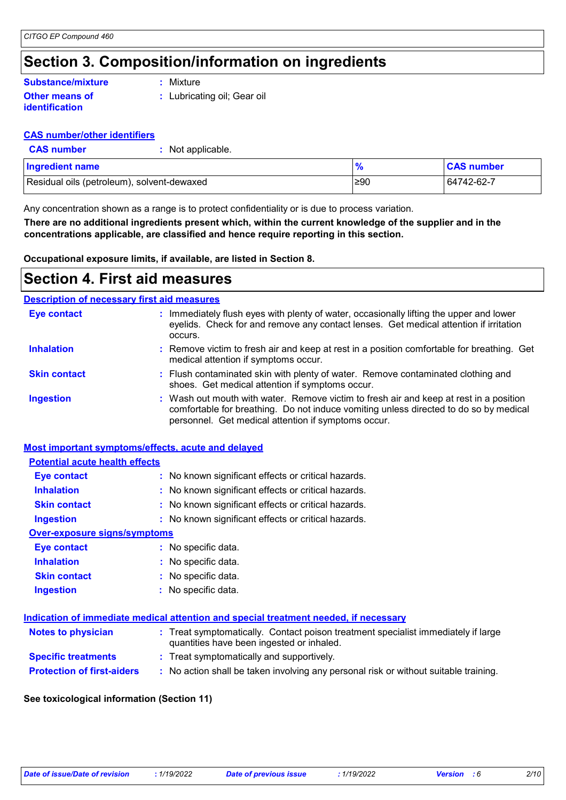## **Section 3. Composition/information on ingredients**

#### **Other means of identification Substance/mixture**

**:** Mixture

**:** Lubricating oil; Gear oil

#### **CAS number/other identifiers**

**CAS number :** Not applicable.

| <b>Ingredient name</b>                     |           | <b>CAS number</b> |
|--------------------------------------------|-----------|-------------------|
| Residual oils (petroleum), solvent-dewaxed | $\geq 90$ | 64742-62-7        |

Any concentration shown as a range is to protect confidentiality or is due to process variation.

**There are no additional ingredients present which, within the current knowledge of the supplier and in the concentrations applicable, are classified and hence require reporting in this section.**

**Occupational exposure limits, if available, are listed in Section 8.**

### **Section 4. First aid measures**

### **Description of necessary first aid measures**

| <b>Eye contact</b>  | : Immediately flush eyes with plenty of water, occasionally lifting the upper and lower<br>eyelids. Check for and remove any contact lenses. Get medical attention if irritation<br>occurs.                                            |
|---------------------|----------------------------------------------------------------------------------------------------------------------------------------------------------------------------------------------------------------------------------------|
| <b>Inhalation</b>   | : Remove victim to fresh air and keep at rest in a position comfortable for breathing. Get<br>medical attention if symptoms occur.                                                                                                     |
| <b>Skin contact</b> | : Flush contaminated skin with plenty of water. Remove contaminated clothing and<br>shoes. Get medical attention if symptoms occur.                                                                                                    |
| <b>Ingestion</b>    | : Wash out mouth with water. Remove victim to fresh air and keep at rest in a position<br>comfortable for breathing. Do not induce vomiting unless directed to do so by medical<br>personnel. Get medical attention if symptoms occur. |

#### **Most important symptoms/effects, acute and delayed**

| <b>Potential acute health effects</b> |                                                     |
|---------------------------------------|-----------------------------------------------------|
| <b>Eye contact</b>                    | : No known significant effects or critical hazards. |
| <b>Inhalation</b>                     | : No known significant effects or critical hazards. |
| <b>Skin contact</b>                   | : No known significant effects or critical hazards. |
| <b>Ingestion</b>                      | : No known significant effects or critical hazards. |
| <b>Over-exposure signs/symptoms</b>   |                                                     |
| Eye contact                           | : No specific data.                                 |
| <b>Inhalation</b>                     | : No specific data.                                 |
| <b>Skin contact</b>                   | : No specific data.                                 |
| <b>Ingestion</b>                      | $:$ No specific data.                               |

#### **Indication of immediate medical attention and special treatment needed, if necessary**

| <b>Notes to physician</b>         | : Treat symptomatically. Contact poison treatment specialist immediately if large<br>quantities have been ingested or inhaled. |
|-----------------------------------|--------------------------------------------------------------------------------------------------------------------------------|
| <b>Specific treatments</b>        | : Treat symptomatically and supportively.                                                                                      |
| <b>Protection of first-aiders</b> | No action shall be taken involving any personal risk or without suitable training.                                             |

#### **See toxicological information (Section 11)**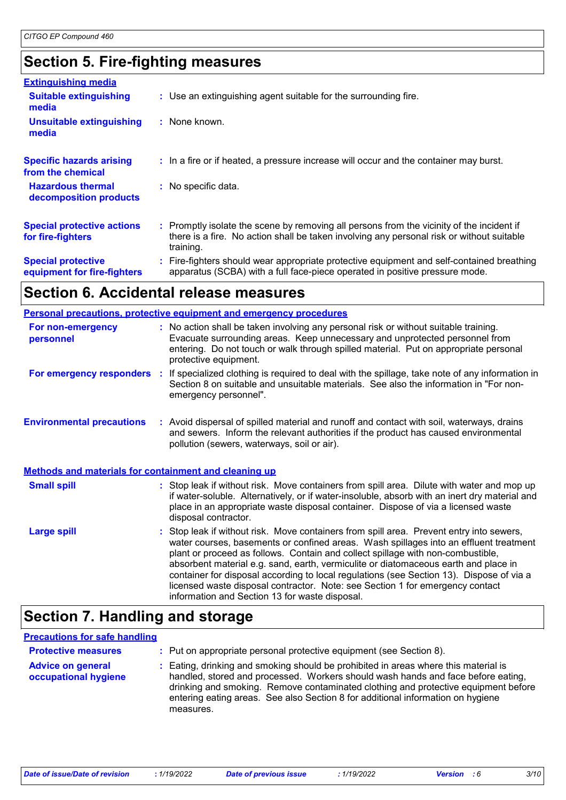## **Section 5. Fire-fighting measures**

| <b>Extinguishing media</b>                               |                                                                                                                                                                                                     |
|----------------------------------------------------------|-----------------------------------------------------------------------------------------------------------------------------------------------------------------------------------------------------|
| <b>Suitable extinguishing</b><br>media                   | : Use an extinguishing agent suitable for the surrounding fire.                                                                                                                                     |
| <b>Unsuitable extinguishing</b><br>media                 | : None known.                                                                                                                                                                                       |
| <b>Specific hazards arising</b><br>from the chemical     | : In a fire or if heated, a pressure increase will occur and the container may burst.                                                                                                               |
| <b>Hazardous thermal</b><br>decomposition products       | : No specific data.                                                                                                                                                                                 |
| <b>Special protective actions</b><br>for fire-fighters   | : Promptly isolate the scene by removing all persons from the vicinity of the incident if<br>there is a fire. No action shall be taken involving any personal risk or without suitable<br>training. |
| <b>Special protective</b><br>equipment for fire-fighters | : Fire-fighters should wear appropriate protective equipment and self-contained breathing<br>apparatus (SCBA) with a full face-piece operated in positive pressure mode.                            |

## **Section 6. Accidental release measures**

| <b>Personal precautions, protective equipment and emergency procedures</b> |                                                                                                                                                                                                                                                                                                                                                                                                                                                                                                                                                                                          |  |
|----------------------------------------------------------------------------|------------------------------------------------------------------------------------------------------------------------------------------------------------------------------------------------------------------------------------------------------------------------------------------------------------------------------------------------------------------------------------------------------------------------------------------------------------------------------------------------------------------------------------------------------------------------------------------|--|
| For non-emergency<br>personnel                                             | : No action shall be taken involving any personal risk or without suitable training.<br>Evacuate surrounding areas. Keep unnecessary and unprotected personnel from<br>entering. Do not touch or walk through spilled material. Put on appropriate personal<br>protective equipment.                                                                                                                                                                                                                                                                                                     |  |
| <b>For emergency responders :</b>                                          | If specialized clothing is required to deal with the spillage, take note of any information in<br>Section 8 on suitable and unsuitable materials. See also the information in "For non-<br>emergency personnel".                                                                                                                                                                                                                                                                                                                                                                         |  |
| <b>Environmental precautions</b>                                           | : Avoid dispersal of spilled material and runoff and contact with soil, waterways, drains<br>and sewers. Inform the relevant authorities if the product has caused environmental<br>pollution (sewers, waterways, soil or air).                                                                                                                                                                                                                                                                                                                                                          |  |
| <b>Methods and materials for containment and cleaning up</b>               |                                                                                                                                                                                                                                                                                                                                                                                                                                                                                                                                                                                          |  |
| <b>Small spill</b>                                                         | : Stop leak if without risk. Move containers from spill area. Dilute with water and mop up<br>if water-soluble. Alternatively, or if water-insoluble, absorb with an inert dry material and<br>place in an appropriate waste disposal container. Dispose of via a licensed waste<br>disposal contractor.                                                                                                                                                                                                                                                                                 |  |
| <b>Large spill</b>                                                         | Stop leak if without risk. Move containers from spill area. Prevent entry into sewers,<br>water courses, basements or confined areas. Wash spillages into an effluent treatment<br>plant or proceed as follows. Contain and collect spillage with non-combustible,<br>absorbent material e.g. sand, earth, vermiculite or diatomaceous earth and place in<br>container for disposal according to local regulations (see Section 13). Dispose of via a<br>licensed waste disposal contractor. Note: see Section 1 for emergency contact<br>information and Section 13 for waste disposal. |  |

## **Section 7. Handling and storage**

### **Precautions for safe handling**

| <b>Protective measures</b>                       | : Put on appropriate personal protective equipment (see Section 8).                                                                                                                                                                                                                                                                                           |
|--------------------------------------------------|---------------------------------------------------------------------------------------------------------------------------------------------------------------------------------------------------------------------------------------------------------------------------------------------------------------------------------------------------------------|
| <b>Advice on general</b><br>occupational hygiene | : Eating, drinking and smoking should be prohibited in areas where this material is<br>handled, stored and processed. Workers should wash hands and face before eating,<br>drinking and smoking. Remove contaminated clothing and protective equipment before<br>entering eating areas. See also Section 8 for additional information on hygiene<br>measures. |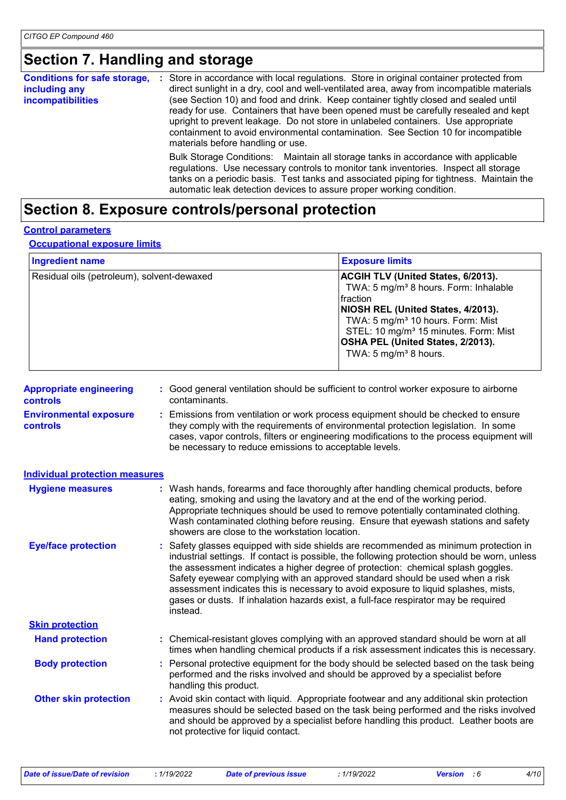## **Section 7. Handling and storage**

| <b>Conditions for safe storage,</b><br>including any<br><b>incompatibilities</b> | Store in accordance with local regulations. Store in original container protected from<br>÷<br>direct sunlight in a dry, cool and well-ventilated area, away from incompatible materials<br>(see Section 10) and food and drink. Keep container tightly closed and sealed until<br>ready for use. Containers that have been opened must be carefully resealed and kept<br>upright to prevent leakage. Do not store in unlabeled containers. Use appropriate<br>containment to avoid environmental contamination. See Section 10 for incompatible<br>materials before handling or use. |  |
|----------------------------------------------------------------------------------|---------------------------------------------------------------------------------------------------------------------------------------------------------------------------------------------------------------------------------------------------------------------------------------------------------------------------------------------------------------------------------------------------------------------------------------------------------------------------------------------------------------------------------------------------------------------------------------|--|
|                                                                                  | Bulk Storage Conditions: Maintain all storage tanks in accordance with applicable<br>regulations. Use necessary controls to monitor tank inventories. Inspect all storage<br>tanks on a periodic basis. Test tanks and associated piping for tightness. Maintain the<br>automatic leak detection devices to assure proper working condition.                                                                                                                                                                                                                                          |  |

## **Section 8. Exposure controls/personal protection**

#### **Control parameters**

#### **Occupational exposure limits**

| <b>Ingredient name</b>                     | <b>Exposure limits</b>                                                                                                                                                                                                                                                                                                                   |
|--------------------------------------------|------------------------------------------------------------------------------------------------------------------------------------------------------------------------------------------------------------------------------------------------------------------------------------------------------------------------------------------|
| Residual oils (petroleum), solvent-dewaxed | <b>ACGIH TLV (United States, 6/2013).</b><br>TWA: 5 mg/m <sup>3</sup> 8 hours. Form: Inhalable<br>Ifraction<br>NIOSH REL (United States, 4/2013).<br>TWA: 5 mg/m <sup>3</sup> 10 hours. Form: Mist<br>STEL: 10 mg/m <sup>3</sup> 15 minutes. Form: Mist<br><b>OSHA PEL (United States, 2/2013).</b><br>TWA: 5 mg/m <sup>3</sup> 8 hours. |

| <b>Appropriate engineering</b> | : Good general ventilation should be sufficient to control worker exposure to airborne |
|--------------------------------|----------------------------------------------------------------------------------------|
| <b>controls</b>                | contaminants.                                                                          |
|                                |                                                                                        |

**Environmental exposure controls :** Emissions from ventilation or work process equipment should be checked to ensure they comply with the requirements of environmental protection legislation. In some cases, vapor controls, filters or engineering modifications to the process equipment will be necessary to reduce emissions to acceptable levels.

| <b>Individual protection measures</b> |                                                                                                                                                                                                                                                                                                                                                                                                                                                                                                                                                     |
|---------------------------------------|-----------------------------------------------------------------------------------------------------------------------------------------------------------------------------------------------------------------------------------------------------------------------------------------------------------------------------------------------------------------------------------------------------------------------------------------------------------------------------------------------------------------------------------------------------|
| <b>Hygiene measures</b>               | : Wash hands, forearms and face thoroughly after handling chemical products, before<br>eating, smoking and using the lavatory and at the end of the working period.<br>Appropriate techniques should be used to remove potentially contaminated clothing.<br>Wash contaminated clothing before reusing. Ensure that eyewash stations and safety<br>showers are close to the workstation location.                                                                                                                                                   |
| <b>Eye/face protection</b>            | : Safety glasses equipped with side shields are recommended as minimum protection in<br>industrial settings. If contact is possible, the following protection should be worn, unless<br>the assessment indicates a higher degree of protection: chemical splash goggles.<br>Safety eyewear complying with an approved standard should be used when a risk<br>assessment indicates this is necessary to avoid exposure to liquid splashes, mists,<br>gases or dusts. If inhalation hazards exist, a full-face respirator may be required<br>instead. |
| <b>Skin protection</b>                |                                                                                                                                                                                                                                                                                                                                                                                                                                                                                                                                                     |
| <b>Hand protection</b>                | : Chemical-resistant gloves complying with an approved standard should be worn at all<br>times when handling chemical products if a risk assessment indicates this is necessary.                                                                                                                                                                                                                                                                                                                                                                    |
| <b>Body protection</b>                | : Personal protective equipment for the body should be selected based on the task being<br>performed and the risks involved and should be approved by a specialist before<br>handling this product.                                                                                                                                                                                                                                                                                                                                                 |
| <b>Other skin protection</b>          | : Avoid skin contact with liquid. Appropriate footwear and any additional skin protection<br>measures should be selected based on the task being performed and the risks involved<br>and should be approved by a specialist before handling this product. Leather boots are<br>not protective for liquid contact.                                                                                                                                                                                                                                   |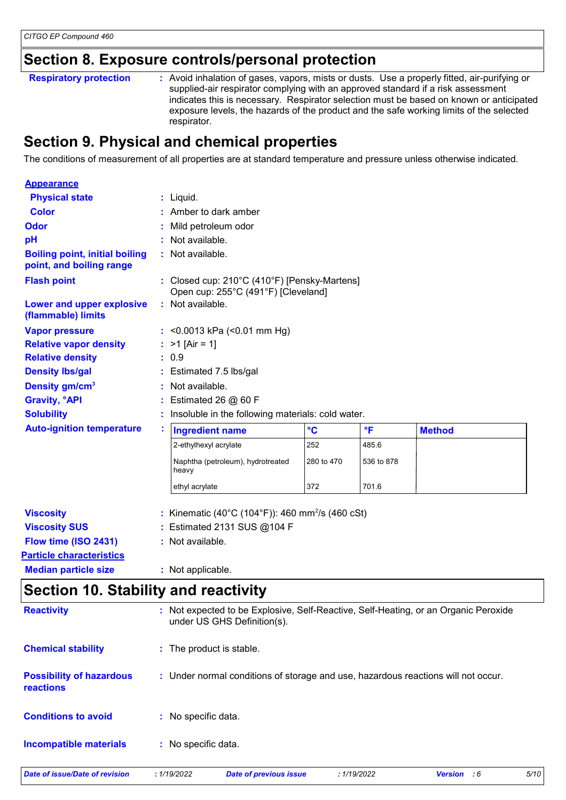### **Section 8. Exposure controls/personal protection**

Avoid inhalation of gases, vapors, mists or dusts. Use a properly fitted, air-purifying or supplied-air respirator complying with an approved standard if a risk assessment indicates this is necessary. Respirator selection must be based on known or anticipated exposure levels, the hazards of the product and the safe working limits of the selected respirator. **Respiratory protection :**

## **Section 9. Physical and chemical properties**

The conditions of measurement of all properties are at standard temperature and pressure unless otherwise indicated.

| <b>Appearance</b>                                                 |   |                                                                                     |                                                   |                         |               |  |  |  |
|-------------------------------------------------------------------|---|-------------------------------------------------------------------------------------|---------------------------------------------------|-------------------------|---------------|--|--|--|
| <b>Physical state</b>                                             |   | $:$ Liquid.                                                                         |                                                   |                         |               |  |  |  |
| <b>Color</b>                                                      |   | Amber to dark amber                                                                 |                                                   |                         |               |  |  |  |
| <b>Odor</b>                                                       |   | Mild petroleum odor                                                                 |                                                   |                         |               |  |  |  |
| pH                                                                |   | Not available.                                                                      |                                                   |                         |               |  |  |  |
| <b>Boiling point, initial boiling</b><br>point, and boiling range |   | : Not available.                                                                    |                                                   |                         |               |  |  |  |
| <b>Flash point</b>                                                |   | : Closed cup: 210°C (410°F) [Pensky-Martens]<br>Open cup: 255°C (491°F) [Cleveland] |                                                   |                         |               |  |  |  |
| Lower and upper explosive<br>(flammable) limits                   |   | : Not available.                                                                    |                                                   |                         |               |  |  |  |
| <b>Vapor pressure</b>                                             |   | : < 0.0013 kPa (< 0.01 mm Hg)                                                       |                                                   |                         |               |  |  |  |
| <b>Relative vapor density</b>                                     |   | : $>1$ [Air = 1]                                                                    |                                                   |                         |               |  |  |  |
| <b>Relative density</b>                                           |   | : 0.9                                                                               |                                                   |                         |               |  |  |  |
| <b>Density Ibs/gal</b>                                            |   | Estimated 7.5 lbs/gal                                                               |                                                   |                         |               |  |  |  |
| Density gm/cm <sup>3</sup>                                        |   | Not available.                                                                      |                                                   |                         |               |  |  |  |
| <b>Gravity, °API</b>                                              |   | Estimated 26 $@$ 60 F                                                               |                                                   |                         |               |  |  |  |
| <b>Solubility</b>                                                 |   |                                                                                     | Insoluble in the following materials: cold water. |                         |               |  |  |  |
| <b>Auto-ignition temperature</b>                                  | t | <b>Ingredient name</b>                                                              | $\mathbf{C}$                                      | $\overline{\mathsf{F}}$ | <b>Method</b> |  |  |  |
|                                                                   |   | 2-ethylhexyl acrylate                                                               | 252                                               | 485.6                   |               |  |  |  |
|                                                                   |   | Naphtha (petroleum), hydrotreated<br>heavy                                          | 280 to 470                                        | 536 to 878              |               |  |  |  |
|                                                                   |   | 372<br>701.6<br>ethyl acrylate                                                      |                                                   |                         |               |  |  |  |
| <b>Viscosity</b>                                                  |   | : Kinematic (40°C (104°F)): 460 mm <sup>2</sup> /s (460 cSt)                        |                                                   |                         |               |  |  |  |
| <b>Viscosity SUS</b>                                              |   | : Estimated 2131 SUS @104 F                                                         |                                                   |                         |               |  |  |  |
| Flow time (ISO 2431)                                              |   | : Not available.                                                                    |                                                   |                         |               |  |  |  |
| <b>Particle characteristics</b>                                   |   |                                                                                     |                                                   |                         |               |  |  |  |
| <b>Median particle size</b>                                       |   | : Not applicable.                                                                   |                                                   |                         |               |  |  |  |
| Cootion 10 Ctobility and reactivity                               |   |                                                                                     |                                                   |                         |               |  |  |  |

### **Section 10. Stability and reactivity**

| <b>Reactivity</b>                                   |                     | : Not expected to be Explosive, Self-Reactive, Self-Heating, or an Organic Peroxide<br>under US GHS Definition(s). |             |                    |      |
|-----------------------------------------------------|---------------------|--------------------------------------------------------------------------------------------------------------------|-------------|--------------------|------|
| <b>Chemical stability</b>                           |                     | : The product is stable.                                                                                           |             |                    |      |
| <b>Possibility of hazardous</b><br><b>reactions</b> |                     | : Under normal conditions of storage and use, hazardous reactions will not occur.                                  |             |                    |      |
| <b>Conditions to avoid</b>                          | : No specific data. |                                                                                                                    |             |                    |      |
| <b>Incompatible materials</b>                       | : No specific data. |                                                                                                                    |             |                    |      |
| <b>Date of issue/Date of revision</b>               | : 1/19/2022         | <b>Date of previous issue</b>                                                                                      | : 1/19/2022 | <b>Version</b> : 6 | 5/10 |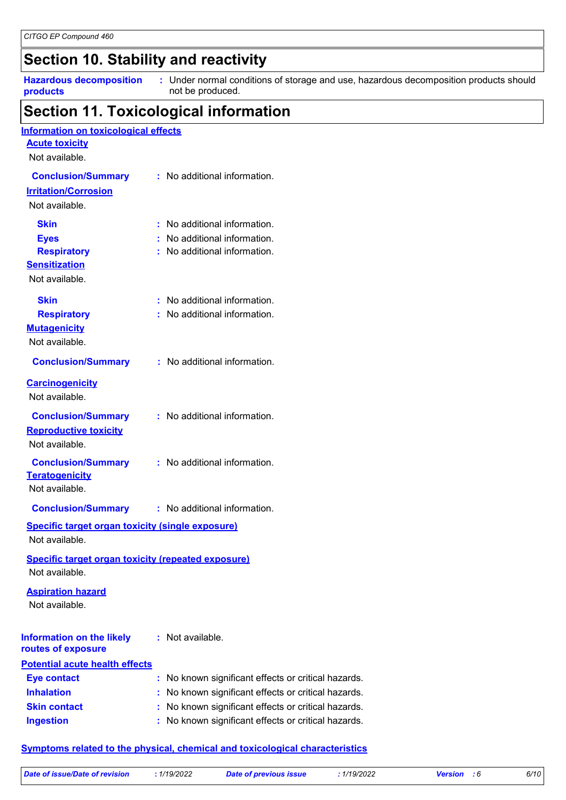## **Section 10. Stability and reactivity**

**Hazardous decomposition products**

Under normal conditions of storage and use, hazardous decomposition products should **:** not be produced.

## **Section 11. Toxicological information**

| Information on toxicological effects<br><b>Acute toxicity</b>               |                                                                                     |
|-----------------------------------------------------------------------------|-------------------------------------------------------------------------------------|
| Not available.                                                              |                                                                                     |
| <b>Conclusion/Summary</b><br><b>Irritation/Corrosion</b><br>Not available.  | : No additional information.                                                        |
| <b>Skin</b>                                                                 | : No additional information.                                                        |
| <b>Eyes</b>                                                                 | : No additional information.                                                        |
| <b>Respiratory</b>                                                          | : No additional information.                                                        |
| <b>Sensitization</b>                                                        |                                                                                     |
| Not available.                                                              |                                                                                     |
| Skin                                                                        | : No additional information.                                                        |
| <b>Respiratory</b>                                                          | : No additional information.                                                        |
| <b>Mutagenicity</b>                                                         |                                                                                     |
| Not available.                                                              |                                                                                     |
| <b>Conclusion/Summary</b>                                                   | : No additional information.                                                        |
| <b>Carcinogenicity</b><br>Not available.                                    |                                                                                     |
| <b>Conclusion/Summary</b>                                                   | : No additional information.                                                        |
| <b>Reproductive toxicity</b>                                                |                                                                                     |
| Not available.                                                              |                                                                                     |
| <b>Conclusion/Summary</b>                                                   | : No additional information.                                                        |
| <b>Teratogenicity</b><br>Not available.                                     |                                                                                     |
| <b>Conclusion/Summary</b>                                                   | : No additional information.                                                        |
| <b>Specific target organ toxicity (single exposure)</b>                     |                                                                                     |
| Not available.                                                              |                                                                                     |
| <b>Specific target organ toxicity (repeated exposure)</b><br>Not available. |                                                                                     |
| <b>Aspiration hazard</b><br>Not available.                                  |                                                                                     |
| <b>Information on the likely</b><br>routes of exposure                      | : Not available.                                                                    |
| <b>Potential acute health effects</b>                                       |                                                                                     |
| <b>Eye contact</b>                                                          | : No known significant effects or critical hazards.                                 |
| <b>Inhalation</b>                                                           | No known significant effects or critical hazards.                                   |
| <b>Skin contact</b>                                                         | No known significant effects or critical hazards.                                   |
| <b>Ingestion</b>                                                            | : No known significant effects or critical hazards.                                 |
|                                                                             | <b>Symptoms related to the physical, chemical and toxicological characteristics</b> |

| Date of issue/Date of revision | 1/19/2022 | Date of previous issue | 1/19/2022 | <b>Version</b> : 6 | 6/10 |
|--------------------------------|-----------|------------------------|-----------|--------------------|------|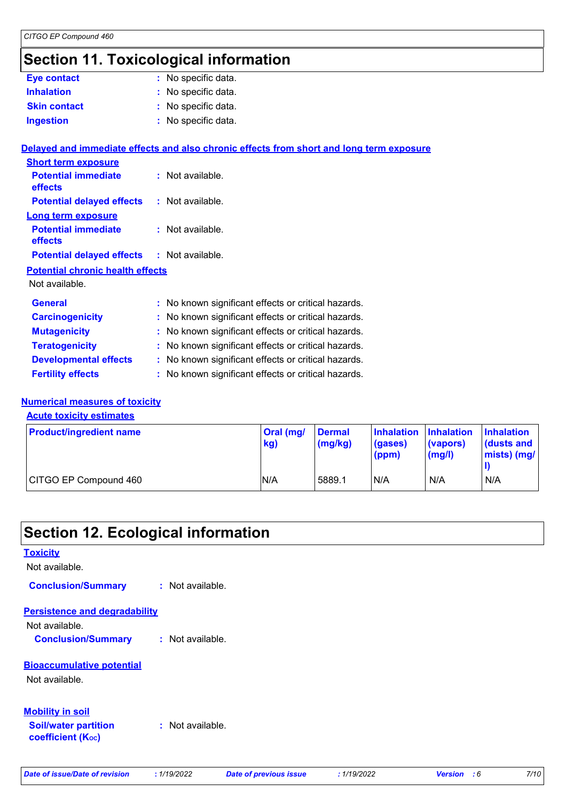### **Section 11. Toxicological information**

| <b>Eye contact</b>                      | : No specific data.                                                                      |
|-----------------------------------------|------------------------------------------------------------------------------------------|
| <b>Inhalation</b>                       | : No specific data.                                                                      |
| <b>Skin contact</b>                     | : No specific data.                                                                      |
| <b>Ingestion</b>                        | : No specific data.                                                                      |
|                                         | Delayed and immediate effects and also chronic effects from short and long term exposure |
| <b>Short term exposure</b>              |                                                                                          |
| <b>Potential immediate</b><br>effects   | : Not available.                                                                         |
| <b>Potential delayed effects</b>        | : Not available.                                                                         |
| <b>Long term exposure</b>               |                                                                                          |
| <b>Potential immediate</b><br>effects   | : Not available.                                                                         |
| <b>Potential delayed effects</b>        | : Not available.                                                                         |
| <b>Potential chronic health effects</b> |                                                                                          |
| Not available.                          |                                                                                          |
| <b>General</b>                          | : No known significant effects or critical hazards.                                      |
| <b>Carcinogenicity</b>                  | : No known significant effects or critical hazards.                                      |
| <b>Mutagenicity</b>                     | : No known significant effects or critical hazards.                                      |
| <b>Teratogenicity</b>                   | : No known significant effects or critical hazards.                                      |
| <b>Developmental effects</b>            | : No known significant effects or critical hazards.                                      |

#### **Fertility effects :** No known significant effects or critical hazards.

### **Numerical measures of toxicity**

**Acute toxicity estimates**

| <b>Product/ingredient name</b> | Oral (mg/<br>kg) | <b>Dermal</b><br>(mg/kg) | Inhalation Inhalation<br>(gases)<br>(ppm) | (vapors)<br>(mg/l) | <b>Inhalation</b><br>dusts and<br>mists) (mg/ |
|--------------------------------|------------------|--------------------------|-------------------------------------------|--------------------|-----------------------------------------------|
| CITGO EP Compound 460          | N/A              | 5889.1                   | N/A                                       | N/A                | N/A                                           |

### **Section 12. Ecological information**

### **Bioaccumulative potential** Not available. **Toxicity** Not available. **Persistence and degradability Soil/water partition coefficient (Koc) :** Not available. **Mobility in soil** Not available. **Conclusion/Summary :** Not available. **Conclusion/Summary :** Not available.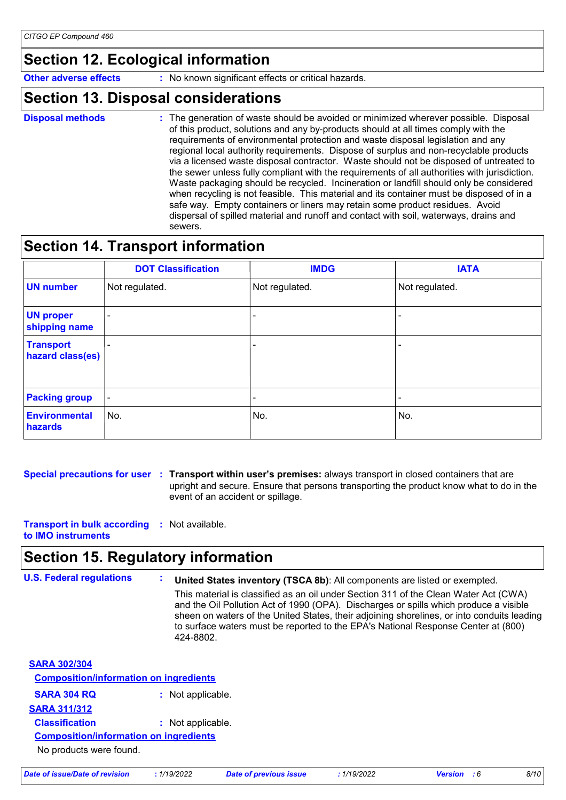## **Section 12. Ecological information**

**Other adverse effects** : No known significant effects or critical hazards.

### **Section 13. Disposal considerations**

- **Disposal methods :**
- The generation of waste should be avoided or minimized wherever possible. Disposal of this product, solutions and any by-products should at all times comply with the requirements of environmental protection and waste disposal legislation and any regional local authority requirements. Dispose of surplus and non-recyclable products via a licensed waste disposal contractor. Waste should not be disposed of untreated to the sewer unless fully compliant with the requirements of all authorities with jurisdiction. Waste packaging should be recycled. Incineration or landfill should only be considered when recycling is not feasible. This material and its container must be disposed of in a safe way. Empty containers or liners may retain some product residues. Avoid dispersal of spilled material and runoff and contact with soil, waterways, drains and sewers.

## **Section 14. Transport information**

|                                      | <b>DOT Classification</b> | <b>IMDG</b>    | <b>IATA</b>    |
|--------------------------------------|---------------------------|----------------|----------------|
| <b>UN number</b>                     | Not regulated.            | Not regulated. | Not regulated. |
| <b>UN proper</b><br>shipping name    |                           |                |                |
| <b>Transport</b><br>hazard class(es) |                           |                |                |
| <b>Packing group</b>                 | $\overline{\phantom{a}}$  |                |                |
| <b>Environmental</b><br>hazards      | No.                       | No.            | No.            |

**Special precautions for user Transport within user's premises:** always transport in closed containers that are **:** upright and secure. Ensure that persons transporting the product know what to do in the event of an accident or spillage.

**Transport in bulk according :** Not available. **to IMO instruments**

### **Section 15. Regulatory information**

```
U.S. Federal regulations :
SARA 302/304
 SARA 304 RQ : Not applicable.
 Composition/information on ingredients
SARA 311/312
 Classification : Not applicable.
                                United States inventory (TSCA 8b): All components are listed or exempted.
                                This material is classified as an oil under Section 311 of the Clean Water Act (CWA)
                                and the Oil Pollution Act of 1990 (OPA). Discharges or spills which produce a visible 
                                sheen on waters of the United States, their adjoining shorelines, or into conduits leading 
                                to surface waters must be reported to the EPA's National Response Center at (800)
                                424-8802.
  No products were found.
 Composition/information on ingredients
```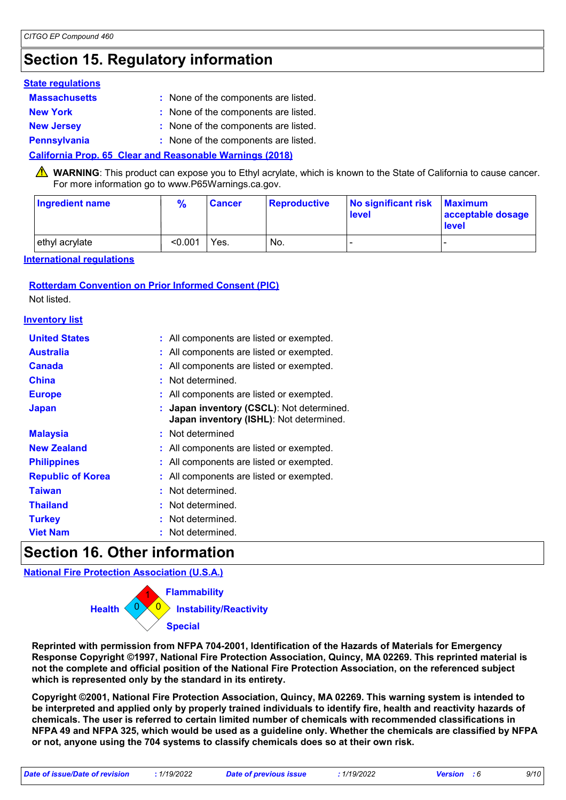## **Section 15. Regulatory information**

#### **State regulations**

| <b>Massachusetts</b> | : None of the components are listed. |
|----------------------|--------------------------------------|
| <b>New York</b>      | : None of the components are listed. |
| <b>New Jersey</b>    | : None of the components are listed. |
| <b>Pennsylvania</b>  | : None of the components are listed. |

#### **California Prop. 65 Clear and Reasonable Warnings (2018)**

WARNING: This product can expose you to Ethyl acrylate, which is known to the State of California to cause cancer. For more information go to www.P65Warnings.ca.gov.

| Ingredient name | $\frac{9}{6}$ | <b>Cancer</b> | Reproductive | No significant risk<br><b>level</b> | <b>Maximum</b><br>acceptable dosage<br><b>level</b> |
|-----------------|---------------|---------------|--------------|-------------------------------------|-----------------------------------------------------|
| ethyl acrylate  | < 0.001       | Yes.          | No.          |                                     |                                                     |

**International regulations**

### **Rotterdam Convention on Prior Informed Consent (PIC)**

Not listed.

#### **Inventory list**

| <b>United States</b>     | : All components are listed or exempted.                                             |
|--------------------------|--------------------------------------------------------------------------------------|
| Australia                | : All components are listed or exempted.                                             |
| <b>Canada</b>            | : All components are listed or exempted.                                             |
| <b>China</b>             | : Not determined.                                                                    |
| <b>Europe</b>            | : All components are listed or exempted.                                             |
| <b>Japan</b>             | : Japan inventory (CSCL): Not determined.<br>Japan inventory (ISHL): Not determined. |
| <b>Malaysia</b>          | : Not determined                                                                     |
| <b>New Zealand</b>       | : All components are listed or exempted.                                             |
| <b>Philippines</b>       | : All components are listed or exempted.                                             |
| <b>Republic of Korea</b> | All components are listed or exempted.                                               |
| <b>Taiwan</b>            | : Not determined.                                                                    |
| <b>Thailand</b>          | : Not determined.                                                                    |
| <b>Turkey</b>            | : Not determined.                                                                    |
| <b>Viet Nam</b>          | Not determined.                                                                      |

### **Section 16. Other information**

**National Fire Protection Association (U.S.A.)**



**Reprinted with permission from NFPA 704-2001, Identification of the Hazards of Materials for Emergency Response Copyright ©1997, National Fire Protection Association, Quincy, MA 02269. This reprinted material is not the complete and official position of the National Fire Protection Association, on the referenced subject which is represented only by the standard in its entirety.**

**Copyright ©2001, National Fire Protection Association, Quincy, MA 02269. This warning system is intended to be interpreted and applied only by properly trained individuals to identify fire, health and reactivity hazards of chemicals. The user is referred to certain limited number of chemicals with recommended classifications in NFPA 49 and NFPA 325, which would be used as a guideline only. Whether the chemicals are classified by NFPA or not, anyone using the 704 systems to classify chemicals does so at their own risk.**

|  |  | Date of issue/Date of revision |  |
|--|--|--------------------------------|--|